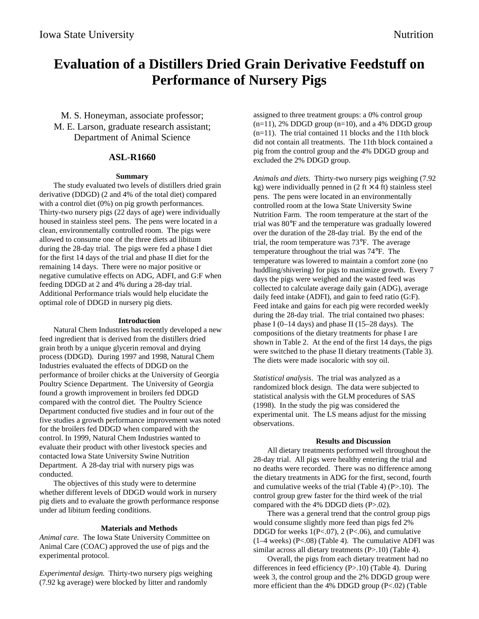# **Evaluation of a Distillers Dried Grain Derivative Feedstuff on Performance of Nursery Pigs**

M. S. Honeyman, associate professor; M. E. Larson, graduate research assistant; Department of Animal Science

## **ASL-R1660**

### **Summary**

The study evaluated two levels of distillers dried grain derivative (DDGD) (2 and 4% of the total diet) compared with a control diet  $(0\%)$  on pig growth performances. Thirty-two nursery pigs (22 days of age) were individually housed in stainless steel pens. The pens were located in a clean, environmentally controlled room. The pigs were allowed to consume one of the three diets ad libitum during the 28-day trial. The pigs were fed a phase I diet for the first 14 days of the trial and phase II diet for the remaining 14 days. There were no major positive or negative cumulative effects on ADG, ADFI, and G:F when feeding DDGD at 2 and 4% during a 28-day trial. Additional Performance trials would help elucidate the optimal role of DDGD in nursery pig diets.

### **Introduction**

Natural Chem Industries has recently developed a new feed ingredient that is derived from the distillers dried grain broth by a unique glycerin removal and drying process (DDGD). During 1997 and 1998, Natural Chem Industries evaluated the effects of DDGD on the performance of broiler chicks at the University of Georgia Poultry Science Department. The University of Georgia found a growth improvement in broilers fed DDGD compared with the control diet. The Poultry Science Department conducted five studies and in four out of the five studies a growth performance improvement was noted for the broilers fed DDGD when compared with the control. In 1999, Natural Chem Industries wanted to evaluate their product with other livestock species and contacted Iowa State University Swine Nutrition Department. A 28-day trial with nursery pigs was conducted.

The objectives of this study were to determine whether different levels of DDGD would work in nursery pig diets and to evaluate the growth performance response under ad libitum feeding conditions.

### **Materials and Methods**

*Animal care.* The Iowa State University Committee on Animal Care (COAC) approved the use of pigs and the experimental protocol.

*Experimental design.* Thirty-two nursery pigs weighing (7.92 kg average) were blocked by litter and randomly

assigned to three treatment groups: a 0% control group  $(n=11)$ , 2% DDGD group  $(n=10)$ , and a 4% DDGD group (n=11). The trial contained 11 blocks and the 11th block did not contain all treatments. The 11th block contained a pig from the control group and the 4% DDGD group and excluded the 2% DDGD group.

*Animals and diets.* Thirty-two nursery pigs weighing (7.92 kg) were individually penned in  $(2 \text{ ft} \times 4 \text{ ft})$  stainless steel pens. The pens were located in an environmentally controlled room at the Iowa State University Swine Nutrition Farm. The room temperature at the start of the trial was 80°F and the temperature was gradually lowered over the duration of the 28-day trial. By the end of the trial, the room temperature was 73°F. The average temperature throughout the trial was 74°F. The temperature was lowered to maintain a comfort zone (no huddling/shivering) for pigs to maximize growth. Every 7 days the pigs were weighed and the wasted feed was collected to calculate average daily gain (ADG), average daily feed intake (ADFI), and gain to feed ratio (G:F). Feed intake and gains for each pig were recorded weekly during the 28-day trial. The trial contained two phases: phase I  $(0-14 \text{ days})$  and phase II  $(15-28 \text{ days})$ . The compositions of the dietary treatments for phase I are shown in Table 2. At the end of the first 14 days, the pigs were switched to the phase II dietary treatments (Table 3). The diets were made isocaloric with soy oil.

*Statistical analysis*. The trial was analyzed as a randomized block design. The data were subjected to statistical analysis with the GLM procedures of SAS (1998). In the study the pig was considered the experimental unit. The LS means adjust for the missing observations.

### **Results and Discussion**

All dietary treatments performed well throughout the 28-day trial. All pigs were healthy entering the trial and no deaths were recorded. There was no difference among the dietary treatments in ADG for the first, second, fourth and cumulative weeks of the trial (Table 4) (P>.10). The control group grew faster for the third week of the trial compared with the 4% DDGD diets (P>.02).

There was a general trend that the control group pigs would consume slightly more feed than pigs fed 2% DDGD for weeks  $1(P<.07)$ ,  $2(P<.06)$ , and cumulative (1–4 weeks) (P<.08) (Table 4). The cumulative ADFI was similar across all dietary treatments  $(P>10)$  (Table 4).

Overall, the pigs from each dietary treatment had no differences in feed efficiency (P>.10) (Table 4). During week 3, the control group and the 2% DDGD group were more efficient than the 4% DDGD group (P<.02) (Table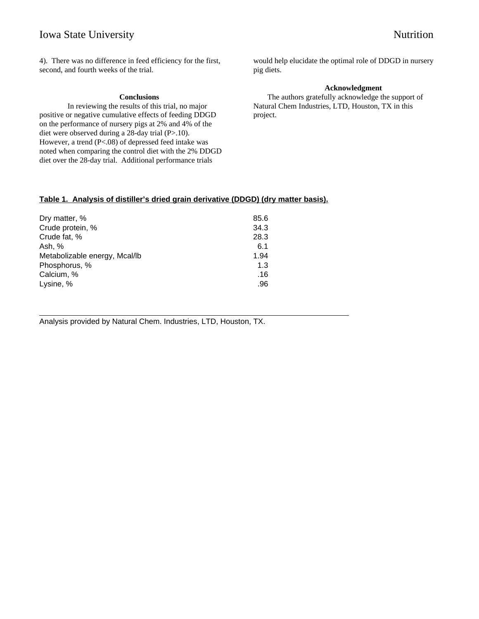# Iowa State University Nutrition

l

4). There was no difference in feed efficiency for the first, second, and fourth weeks of the trial.

### **Conclusions**

In reviewing the results of this trial, no major positive or negative cumulative effects of feeding DDGD on the performance of nursery pigs at 2% and 4% of the diet were observed during a 28-day trial (P>.10). However, a trend (P<.08) of depressed feed intake was noted when comparing the control diet with the 2% DDGD diet over the 28-day trial. Additional performance trials

would help elucidate the optimal role of DDGD in nursery pig diets.

### **Acknowledgment**

The authors gratefully acknowledge the support of Natural Chem Industries, LTD, Houston, TX in this project.

## **Table 1. Analysis of distiller's dried grain derivative (DDGD) (dry matter basis).**

| Dry matter, %                 | 85.6 |
|-------------------------------|------|
| Crude protein, %              | 34.3 |
| Crude fat, %                  | 28.3 |
| Ash, %                        | 6.1  |
| Metabolizable energy, Mcal/lb | 1.94 |
| Phosphorus, %                 | 1.3  |
| Calcium, %                    | .16  |
| Lysine, %                     | .96  |

Analysis provided by Natural Chem. Industries, LTD, Houston, TX.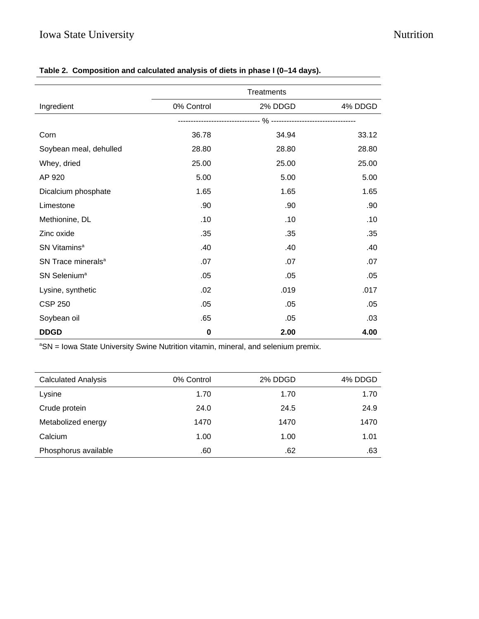|                                | Treatments |         |         |  |  |
|--------------------------------|------------|---------|---------|--|--|
| Ingredient                     | 0% Control | 2% DDGD | 4% DDGD |  |  |
|                                |            |         |         |  |  |
| Corn                           | 36.78      | 34.94   | 33.12   |  |  |
| Soybean meal, dehulled         | 28.80      | 28.80   | 28.80   |  |  |
| Whey, dried                    | 25.00      | 25.00   | 25.00   |  |  |
| AP 920                         | 5.00       | 5.00    | 5.00    |  |  |
| Dicalcium phosphate            | 1.65       | 1.65    | 1.65    |  |  |
| Limestone                      | .90        | .90     | .90     |  |  |
| Methionine, DL                 | .10        | .10     | .10     |  |  |
| Zinc oxide                     | .35        | .35     | .35     |  |  |
| SN Vitamins <sup>a</sup>       | .40        | .40     | .40     |  |  |
| SN Trace minerals <sup>a</sup> | .07        | .07     | .07     |  |  |
| SN Selenium <sup>a</sup>       | .05        | .05     | .05     |  |  |
| Lysine, synthetic              | .02        | .019    | .017    |  |  |
| <b>CSP 250</b>                 | .05        | .05     | .05     |  |  |
| Soybean oil                    | .65        | .05     | .03     |  |  |
| <b>DDGD</b>                    | $\bf{0}$   | 2.00    | 4.00    |  |  |

# **Table 2. Composition and calculated analysis of diets in phase I (0–14 days).**

<sup>a</sup>SN = Iowa State University Swine Nutrition vitamin, mineral, and selenium premix.

| <b>Calculated Analysis</b> | 0% Control | 2% DDGD | 4% DDGD |
|----------------------------|------------|---------|---------|
| Lysine                     | 1.70       | 1.70    | 1.70    |
| Crude protein              | 24.0       | 24.5    | 24.9    |
| Metabolized energy         | 1470       | 1470    | 1470    |
| Calcium                    | 1.00       | 1.00    | 1.01    |
| Phosphorus available       | .60        | .62     | .63     |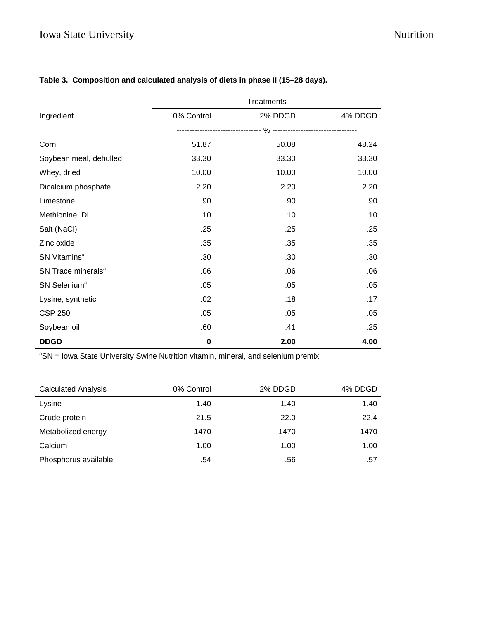|                                | Treatments |         |         |  |
|--------------------------------|------------|---------|---------|--|
| Ingredient                     | 0% Control | 2% DDGD | 4% DDGD |  |
|                                |            |         |         |  |
| Corn                           | 51.87      | 50.08   | 48.24   |  |
| Soybean meal, dehulled         | 33.30      | 33.30   | 33.30   |  |
| Whey, dried                    | 10.00      | 10.00   | 10.00   |  |
| Dicalcium phosphate            | 2.20       | 2.20    | 2.20    |  |
| Limestone                      | .90        | .90     | .90     |  |
| Methionine, DL                 | .10        | .10     | .10     |  |
| Salt (NaCl)                    | .25        | .25     | .25     |  |
| Zinc oxide                     | .35        | .35     | .35     |  |
| SN Vitamins <sup>a</sup>       | .30        | .30     | .30     |  |
| SN Trace minerals <sup>a</sup> | .06        | .06     | .06     |  |
| SN Selenium <sup>a</sup>       | .05        | .05     | .05     |  |
| Lysine, synthetic              | .02        | .18     | .17     |  |
| <b>CSP 250</b>                 | .05        | .05     | .05     |  |
| Soybean oil                    | .60        | .41     | .25     |  |
| <b>DDGD</b>                    | 0          | 2.00    | 4.00    |  |

# **Table 3. Composition and calculated analysis of diets in phase II (15–28 days).**

<sup>a</sup>SN = Iowa State University Swine Nutrition vitamin, mineral, and selenium premix.

| <b>Calculated Analysis</b> | 0% Control | 2% DDGD | 4% DDGD |
|----------------------------|------------|---------|---------|
| Lysine                     | 1.40       | 1.40    | 1.40    |
| Crude protein              | 21.5       | 22.0    | 22.4    |
| Metabolized energy         | 1470       | 1470    | 1470    |
| Calcium                    | 1.00       | 1.00    | 1.00    |
| Phosphorus available       | .54        | .56     | .57     |